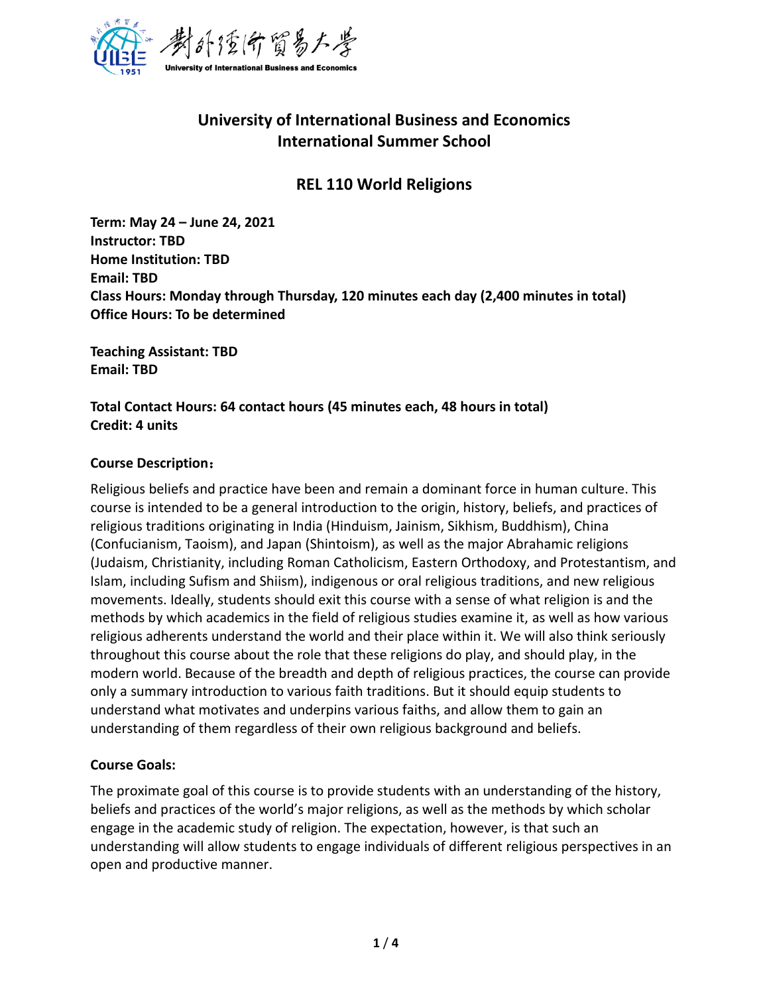

# **University of International Business and Economics International Summer School**

### **REL 110 World Religions**

**Term: May 24 – June 24, 2021 Instructor: TBD Home Institution: TBD Email: TBD Class Hours: Monday through Thursday, 120 minutes each day (2,400 minutes in total) Office Hours: To be determined**

**Teaching Assistant: TBD Email: TBD**

**Total Contact Hours: 64 contact hours (45 minutes each, 48 hours in total) Credit: 4 units**

#### **Course Description**:

Religious beliefs and practice have been and remain a dominant force in human culture. This course is intended to be a general introduction to the origin, history, beliefs, and practices of religious traditions originating in India (Hinduism, Jainism, Sikhism, Buddhism), China (Confucianism, Taoism), and Japan (Shintoism), as well as the major Abrahamic religions (Judaism, Christianity, including Roman Catholicism, Eastern Orthodoxy, and Protestantism, and Islam, including Sufism and Shiism), indigenous or oral religious traditions, and new religious movements. Ideally, students should exit this course with a sense of what religion is and the methods by which academics in the field of religious studies examine it, as well as how various religious adherents understand the world and their place within it. We will also think seriously throughout this course about the role that these religions do play, and should play, in the modern world. Because of the breadth and depth of religious practices, the course can provide only a summary introduction to various faith traditions. But it should equip students to understand what motivates and underpins various faiths, and allow them to gain an understanding of them regardless of their own religious background and beliefs.

#### **Course Goals:**

The proximate goal of this course is to provide students with an understanding of the history, beliefs and practices of the world's major religions, as well as the methods by which scholar engage in the academic study of religion. The expectation, however, is that such an understanding will allow students to engage individuals of different religious perspectives in an open and productive manner.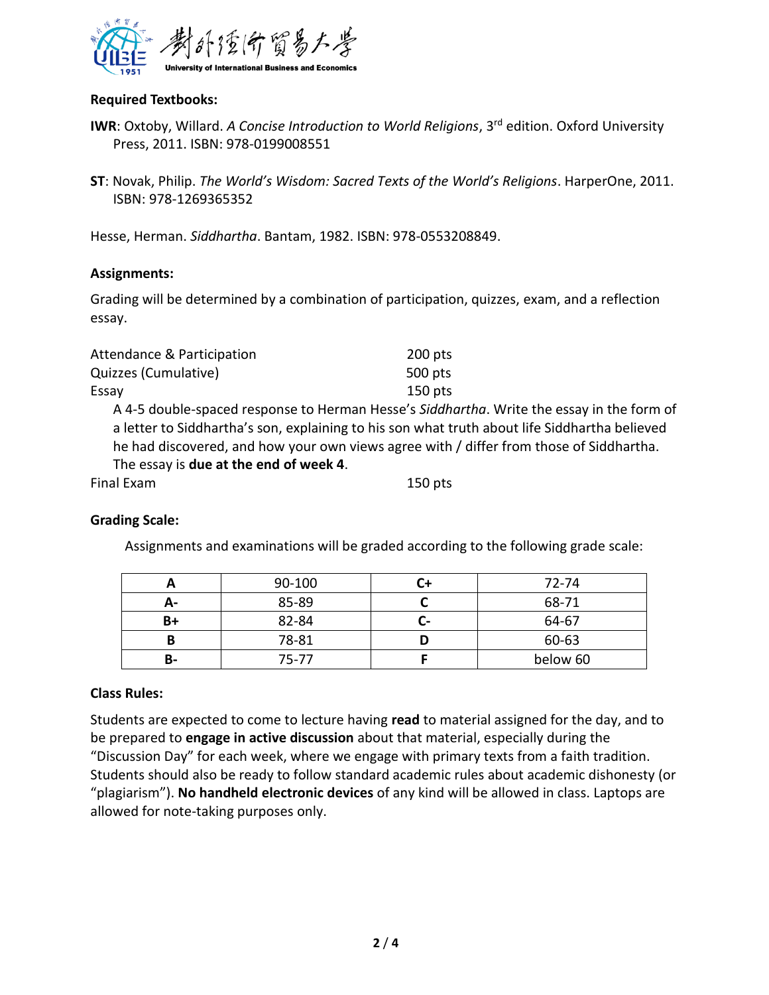

#### **Required Textbooks:**

- **IWR**: Oxtoby, Willard. *A Concise Introduction to World Religions*, 3<sup>rd</sup> edition. Oxford University Press, 2011. ISBN: 978-0199008551
- **ST**: Novak, Philip. *The World's Wisdom: Sacred Texts of the World's Religions*. HarperOne, 2011. ISBN: 978-1269365352

Hesse, Herman. *Siddhartha*. Bantam, 1982. ISBN: 978-0553208849.

#### **Assignments:**

Grading will be determined by a combination of participation, quizzes, exam, and a reflection essay.

| Attendance & Participation | 200 pts |
|----------------------------|---------|
| Quizzes (Cumulative)       | 500 pts |
| Essay                      | 150 pts |

A 4-5 double-spaced response to Herman Hesse's *Siddhartha*. Write the essay in the form of a letter to Siddhartha's son, explaining to his son what truth about life Siddhartha believed he had discovered, and how your own views agree with / differ from those of Siddhartha. The essay is **due at the end of week 4**.

| Final Exam | $150$ pts |
|------------|-----------|
|------------|-----------|

#### **Grading Scale:**

Assignments and examinations will be graded according to the following grade scale:

|    | 90-100 |    | 72-74    |
|----|--------|----|----------|
| А- | 85-89  |    | 68-71    |
| B+ | 82-84  | u- | 64-67    |
| В  | 78-81  |    | 60-63    |
| В- | 75-77  |    | below 60 |

#### **Class Rules:**

Students are expected to come to lecture having **read** to material assigned for the day, and to be prepared to **engage in active discussion** about that material, especially during the "Discussion Day" for each week, where we engage with primary texts from a faith tradition. Students should also be ready to follow standard academic rules about academic dishonesty (or "plagiarism"). **No handheld electronic devices** of any kind will be allowed in class. Laptops are allowed for note-taking purposes only.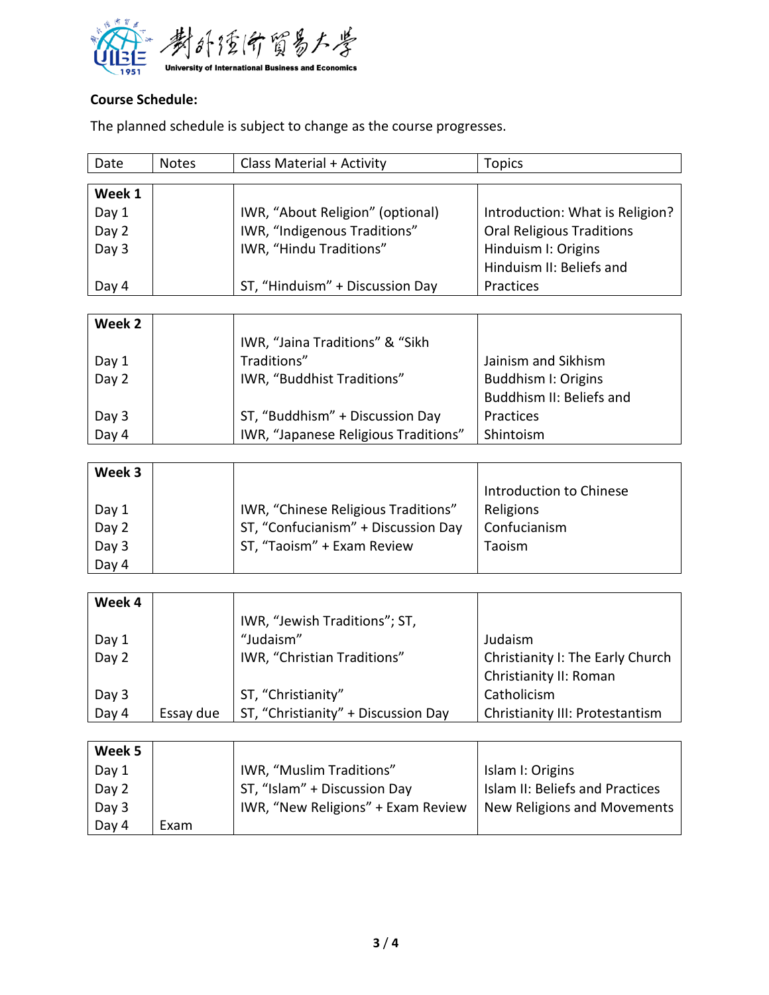

## **Course Schedule:**

The planned schedule is subject to change as the course progresses.

| Date   | <b>Notes</b> | Class Material + Activity        | <b>Topics</b>                    |
|--------|--------------|----------------------------------|----------------------------------|
|        |              |                                  |                                  |
| Week 1 |              |                                  |                                  |
| Day 1  |              | IWR, "About Religion" (optional) | Introduction: What is Religion?  |
| Day 2  |              | IWR, "Indigenous Traditions"     | <b>Oral Religious Traditions</b> |
| Day 3  |              | IWR, "Hindu Traditions"          | Hinduism I: Origins              |
|        |              |                                  | Hinduism II: Beliefs and         |
| Day 4  |              | ST, "Hinduism" + Discussion Day  | Practices                        |
|        |              |                                  |                                  |
| Week 2 |              |                                  |                                  |
|        |              | IWR, "Jaina Traditions" & "Sikh  |                                  |

|       | <b>IVAL, Jalia Hauluviis &amp; JINI</b> |                          |
|-------|-----------------------------------------|--------------------------|
| Day 1 | Traditions"                             | Jainism and Sikhism      |
| Day 2 | IWR, "Buddhist Traditions"              | Buddhism I: Origins      |
|       |                                         | Buddhism II: Beliefs and |
| Day 3 | ST, "Buddhism" + Discussion Day         | Practices                |
| Day 4 | IWR, "Japanese Religious Traditions"    | Shintoism                |

| Week 3 |                                     |                         |
|--------|-------------------------------------|-------------------------|
|        |                                     | Introduction to Chinese |
| Day 1  | IWR, "Chinese Religious Traditions" | Religions               |
| Day 2  | ST, "Confucianism" + Discussion Day | Confucianism            |
| Day 3  | ST, "Taoism" + Exam Review          | Taoism                  |
| Day 4  |                                     |                         |

| Week 4 |           |                                     |                                  |
|--------|-----------|-------------------------------------|----------------------------------|
|        |           | IWR, "Jewish Traditions"; ST,       |                                  |
| Day 1  |           | "Judaism"                           | Judaism                          |
| Day 2  |           | IWR, "Christian Traditions"         | Christianity I: The Early Church |
|        |           |                                     | Christianity II: Roman           |
| Day 3  |           | ST, "Christianity"                  | Catholicism                      |
| Day 4  | Essay due | ST, "Christianity" + Discussion Day | Christianity III: Protestantism  |

| Week 5 |      |                                    |                                 |
|--------|------|------------------------------------|---------------------------------|
| Day 1  |      | IWR, "Muslim Traditions"           | Islam I: Origins                |
| Day 2  |      | ST, "Islam" + Discussion Day       | Islam II: Beliefs and Practices |
| Day 3  |      | IWR, "New Religions" + Exam Review | New Religions and Movements     |
| Day 4  | Exam |                                    |                                 |